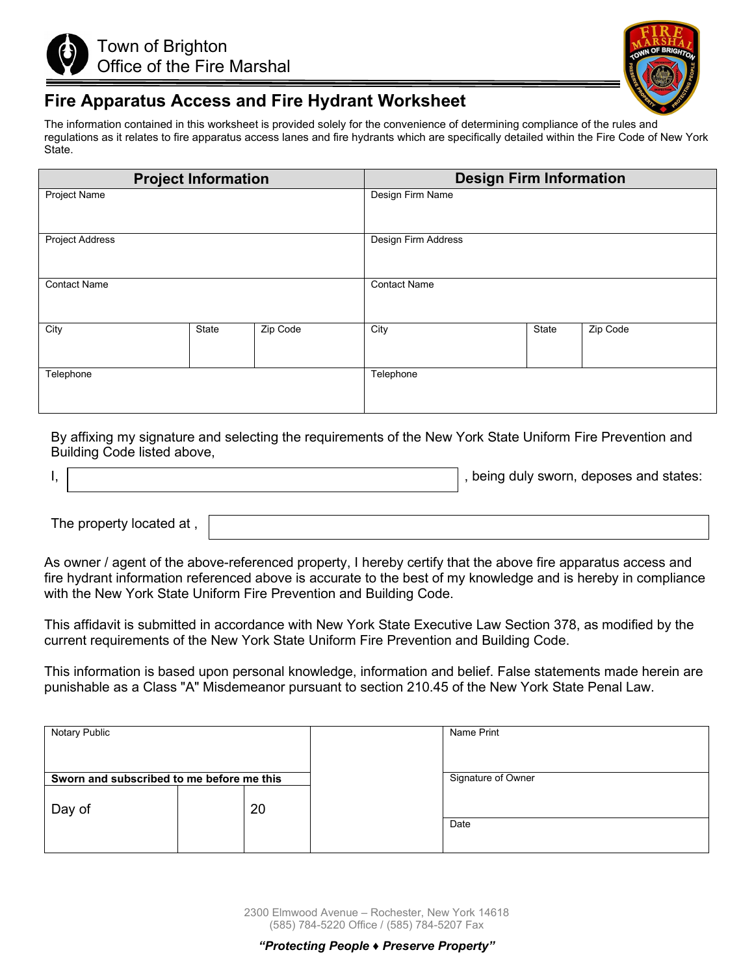



## **Fire Apparatus Access and Fire Hydrant Worksheet**

The information contained in this worksheet is provided solely for the convenience of determining compliance of the rules and regulations as it relates to fire apparatus access lanes and fire hydrants which are specifically detailed within the Fire Code of New York State.

|                        | <b>Project Information</b> |          | <b>Design Firm Information</b> |       |          |
|------------------------|----------------------------|----------|--------------------------------|-------|----------|
| <b>Project Name</b>    |                            |          | Design Firm Name               |       |          |
| <b>Project Address</b> |                            |          | Design Firm Address            |       |          |
| <b>Contact Name</b>    |                            |          | <b>Contact Name</b>            |       |          |
| City                   | State                      | Zip Code | City                           | State | Zip Code |
| Telephone              |                            |          | Telephone                      |       |          |

By affixing my signature and selecting the requirements of the New York State Uniform Fire Prevention and Building Code listed above,

|  | , being duly sworn, deposes and states: |
|--|-----------------------------------------|
|  |                                         |

The property located at ,

As owner / agent of the above-referenced property, I hereby certify that the above fire apparatus access and fire hydrant information referenced above is accurate to the best of my knowledge and is hereby in compliance with the New York State Uniform Fire Prevention and Building Code.

This affidavit is submitted in accordance with New York State Executive Law Section 378, as modified by the current requirements of the New York State Uniform Fire Prevention and Building Code.

This information is based upon personal knowledge, information and belief. False statements made herein are punishable as a Class "A" Misdemeanor pursuant to section 210.45 of the New York State Penal Law.

| Notary Public                                       |    | Name Print         |
|-----------------------------------------------------|----|--------------------|
| Sworn and subscribed to me before me this<br>Day of | 20 | Signature of Owner |
|                                                     |    | Date               |

2300 Elmwood Avenue – Rochester, New York 14618 (585) 784-5220 Office / (585) 784-5207 Fax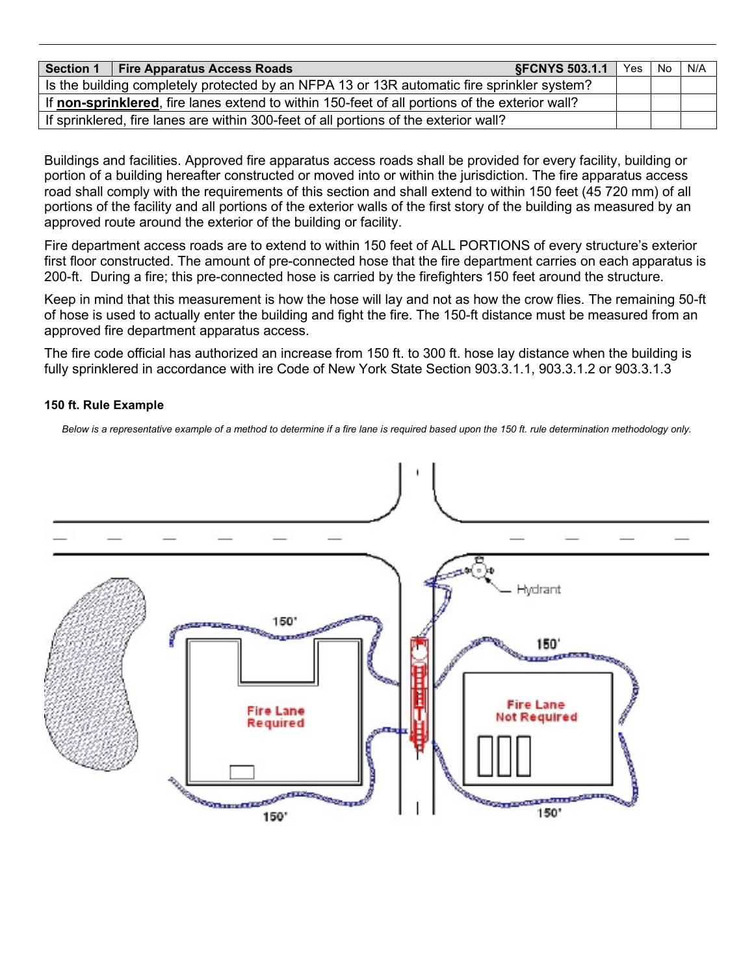|                                                                                                | <b>SFCNYS 503.1.1</b><br>Section 1   Fire Apparatus Access Roads                     |  | Yes No | N/A |
|------------------------------------------------------------------------------------------------|--------------------------------------------------------------------------------------|--|--------|-----|
| Is the building completely protected by an NFPA 13 or 13R automatic fire sprinkler system?     |                                                                                      |  |        |     |
| If non-sprinklered, fire lanes extend to within 150-feet of all portions of the exterior wall? |                                                                                      |  |        |     |
|                                                                                                | If sprinklered, fire lanes are within 300-feet of all portions of the exterior wall? |  |        |     |

Buildings and facilities. Approved fire apparatus access roads shall be provided for every facility, building or portion of a building hereafter constructed or moved into or within the jurisdiction. The fire apparatus access road shall comply with the requirements of this section and shall extend to within 150 feet (45 720 mm) of all portions of the facility and all portions of the exterior walls of the first story of the building as measured by an approved route around the exterior of the building or facility.

Fire department access roads are to extend to within 150 feet of ALL PORTIONS of every structure's exterior first floor constructed. The amount of pre-connected hose that the fire department carries on each apparatus is 200-ft. During a fire; this pre-connected hose is carried by the firefighters 150 feet around the structure.

Keep in mind that this measurement is how the hose will lay and not as how the crow flies. The remaining 50-ft of hose is used to actually enter the building and fight the fire. The 150-ft distance must be measured from an approved fire department apparatus access.

The fire code official has authorized an increase from 150 ft. to 300 ft. hose lay distance when the building is fully sprinklered in accordance with ire Code of New York State Section 903.3.1.1, 903.3.1.2 or 903.3.1.3

## **150 ft. Rule Example**

*Below is a representative example of a method to determine if a fire lane is required based upon the 150 ft. rule determination methodology only.*

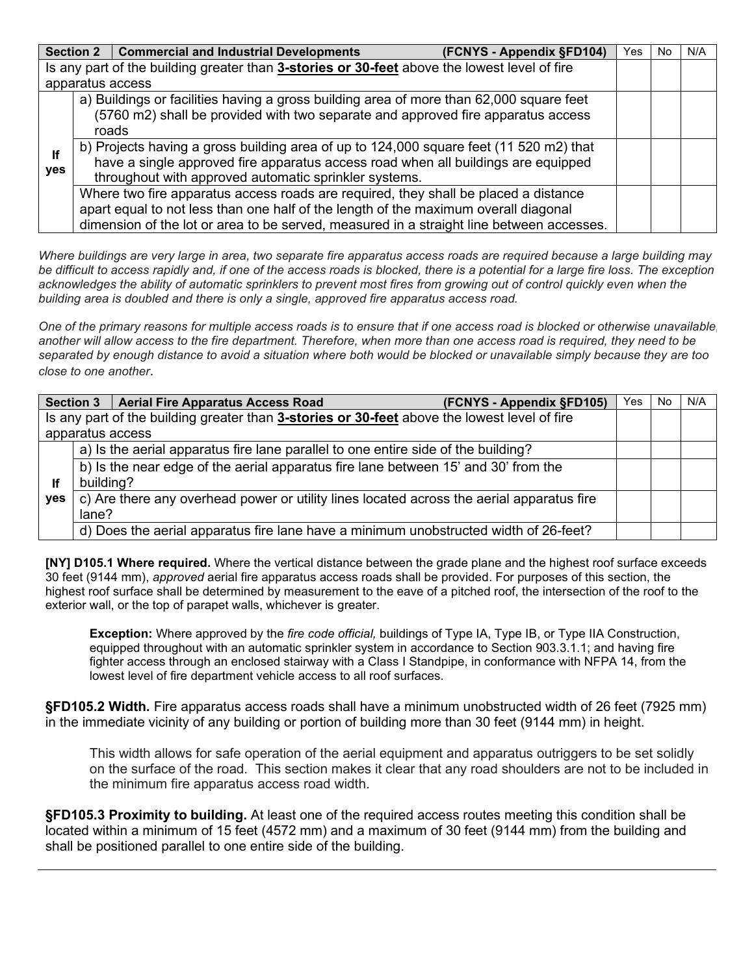|     | Section 2   Commercial and Industrial Developments                                           | (FCNYS - Appendix §FD104) | Yes | No. | N/A |
|-----|----------------------------------------------------------------------------------------------|---------------------------|-----|-----|-----|
|     | Is any part of the building greater than 3-stories or 30-feet above the lowest level of fire |                           |     |     |     |
|     | apparatus access                                                                             |                           |     |     |     |
|     | a) Buildings or facilities having a gross building area of more than 62,000 square feet      |                           |     |     |     |
|     | (5760 m2) shall be provided with two separate and approved fire apparatus access             |                           |     |     |     |
|     | roads                                                                                        |                           |     |     |     |
| lf  | b) Projects having a gross building area of up to 124,000 square feet (11 520 m2) that       |                           |     |     |     |
| yes | have a single approved fire apparatus access road when all buildings are equipped            |                           |     |     |     |
|     | throughout with approved automatic sprinkler systems.                                        |                           |     |     |     |
|     | Where two fire apparatus access roads are required, they shall be placed a distance          |                           |     |     |     |
|     | apart equal to not less than one half of the length of the maximum overall diagonal          |                           |     |     |     |
|     | dimension of the lot or area to be served, measured in a straight line between accesses.     |                           |     |     |     |

*Where buildings are very large in area, two separate fire apparatus access roads are required because a large building may be difficult to access rapidly and, if one of the access roads is blocked, there is a potential for a large fire loss. The exception acknowledges the ability of automatic sprinklers to prevent most fires from growing out of control quickly even when the building area is doubled and there is only a single, approved fire apparatus access road.*

*One of the primary reasons for multiple access roads is to ensure that if one access road is blocked or otherwise unavailable, another will allow access to the fire department. Therefore, when more than one access road is required, they need to be separated by enough distance to avoid a situation where both would be blocked or unavailable simply because they are too close to one another*.

|     |           | Section 3   Aerial Fire Apparatus Access Road<br>(FCNYS - Appendix §FD105)                   | Yes | No | N/A |
|-----|-----------|----------------------------------------------------------------------------------------------|-----|----|-----|
|     |           | Is any part of the building greater than 3-stories or 30-feet above the lowest level of fire |     |    |     |
|     |           | apparatus access                                                                             |     |    |     |
|     |           | a) Is the aerial apparatus fire lane parallel to one entire side of the building?            |     |    |     |
|     |           | b) Is the near edge of the aerial apparatus fire lane between 15' and 30' from the           |     |    |     |
| lf. | building? |                                                                                              |     |    |     |
| yes |           | c) Are there any overhead power or utility lines located across the aerial apparatus fire    |     |    |     |
|     | lane?     |                                                                                              |     |    |     |
|     |           | d) Does the aerial apparatus fire lane have a minimum unobstructed width of 26-feet?         |     |    |     |

**[NY] D105.1 Where required.** Where the vertical distance between the grade plane and the highest roof surface exceeds 30 feet (9144 mm), *approved* aerial fire apparatus access roads shall be provided. For purposes of this section, the highest roof surface shall be determined by measurement to the eave of a pitched roof, the intersection of the roof to the exterior wall, or the top of parapet walls, whichever is greater.

**Exception:** Where approved by the *fire code official,* buildings of Type IA, Type IB, or Type IIA Construction, equipped throughout with an automatic sprinkler system in accordance to Section 903.3.1.1; and having fire fighter access through an enclosed stairway with a Class I Standpipe, in conformance with NFPA 14, from the lowest level of fire department vehicle access to all roof surfaces.

**§FD105.2 Width.** Fire apparatus access roads shall have a minimum unobstructed width of 26 feet (7925 mm) in the immediate vicinity of any building or portion of building more than 30 feet (9144 mm) in height.

This width allows for safe operation of the aerial equipment and apparatus outriggers to be set solidly on the surface of the road. This section makes it clear that any road shoulders are not to be included in the minimum fire apparatus access road width.

**§FD105.3 Proximity to building.** At least one of the required access routes meeting this condition shall be located within a minimum of 15 feet (4572 mm) and a maximum of 30 feet (9144 mm) from the building and shall be positioned parallel to one entire side of the building.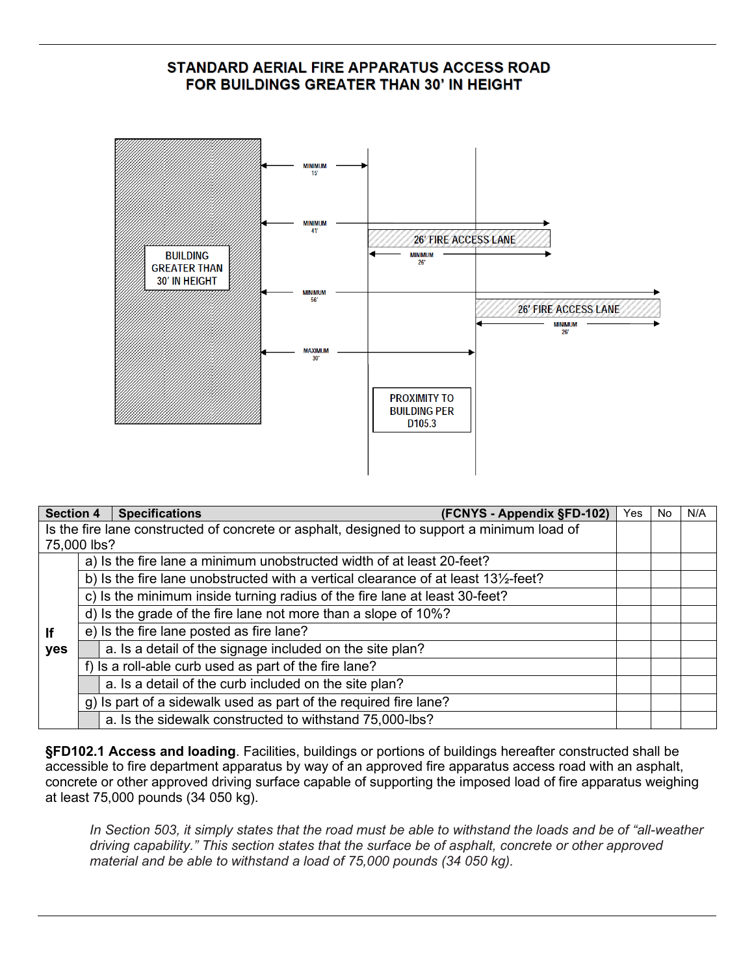## STANDARD AERIAL FIRE APPARATUS ACCESS ROAD FOR BUILDINGS GREATER THAN 30' IN HEIGHT



| <b>Section 4</b> | <b>Specifications</b><br>(FCNYS - Appendix §FD-102)                                           | Yes | No | N/A |
|------------------|-----------------------------------------------------------------------------------------------|-----|----|-----|
|                  | Is the fire lane constructed of concrete or asphalt, designed to support a minimum load of    |     |    |     |
| 75,000 lbs?      |                                                                                               |     |    |     |
|                  | a) Is the fire lane a minimum unobstructed width of at least 20-feet?                         |     |    |     |
|                  | b) Is the fire lane unobstructed with a vertical clearance of at least $13\frac{1}{2}$ -feet? |     |    |     |
|                  | c) Is the minimum inside turning radius of the fire lane at least 30-feet?                    |     |    |     |
|                  | d) Is the grade of the fire lane not more than a slope of 10%?                                |     |    |     |
| If               | e) Is the fire lane posted as fire lane?                                                      |     |    |     |
| yes              | a. Is a detail of the signage included on the site plan?                                      |     |    |     |
|                  | f) Is a roll-able curb used as part of the fire lane?                                         |     |    |     |
|                  | a. Is a detail of the curb included on the site plan?                                         |     |    |     |
|                  | g) Is part of a sidewalk used as part of the required fire lane?                              |     |    |     |
|                  | a. Is the sidewalk constructed to withstand 75,000-lbs?                                       |     |    |     |

**§FD102.1 Access and loading**. Facilities, buildings or portions of buildings hereafter constructed shall be accessible to fire department apparatus by way of an approved fire apparatus access road with an asphalt, concrete or other approved driving surface capable of supporting the imposed load of fire apparatus weighing at least 75,000 pounds (34 050 kg).

*In Section 503, it simply states that the road must be able to withstand the loads and be of "all-weather driving capability." This section states that the surface be of asphalt, concrete or other approved material and be able to withstand a load of 75,000 pounds (34 050 kg).*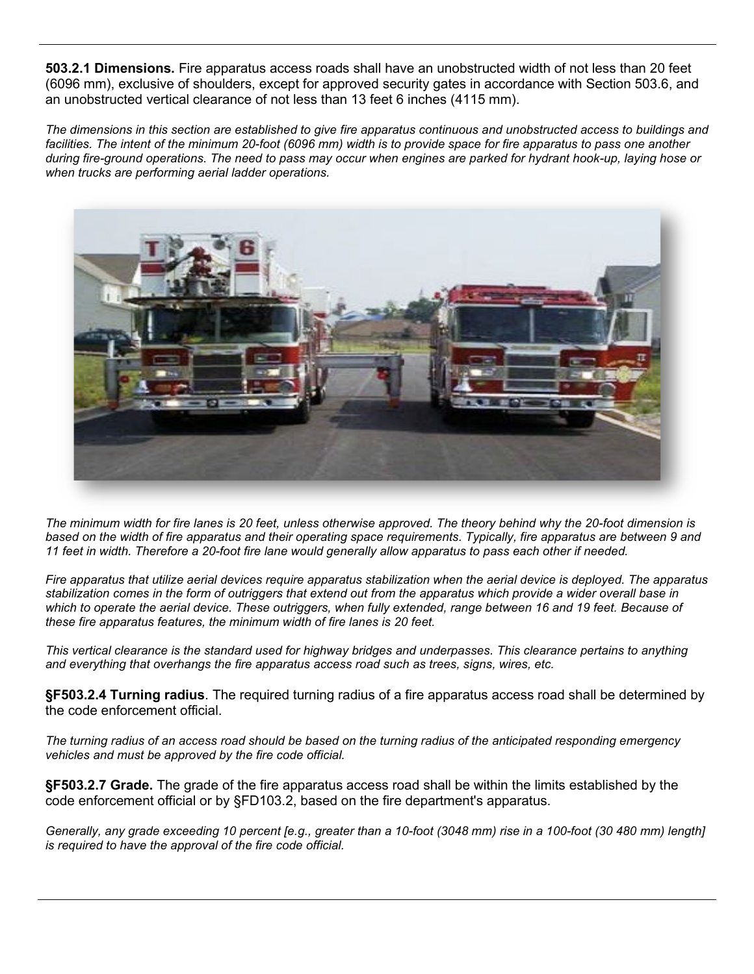**503.2.1 Dimensions.** Fire apparatus access roads shall have an unobstructed width of not less than 20 feet (6096 mm), exclusive of shoulders, except for approved security gates in accordance with Section 503.6, and an unobstructed vertical clearance of not less than 13 feet 6 inches (4115 mm).

*The dimensions in this section are established to give fire apparatus continuous and unobstructed access to buildings and*  facilities. The intent of the minimum 20-foot (6096 mm) width is to provide space for fire apparatus to pass one another *during fire-ground operations. The need to pass may occur when engines are parked for hydrant hook-up, laying hose or when trucks are performing aerial ladder operations.*



*The minimum width for fire lanes is 20 feet, unless otherwise approved. The theory behind why the 20-foot dimension is based on the width of fire apparatus and their operating space requirements. Typically, fire apparatus are between 9 and 11 feet in width. Therefore a 20-foot fire lane would generally allow apparatus to pass each other if needed.* 

*Fire apparatus that utilize aerial devices require apparatus stabilization when the aerial device is deployed. The apparatus stabilization comes in the form of outriggers that extend out from the apparatus which provide a wider overall base in*  which to operate the aerial device. These outriggers, when fully extended, range between 16 and 19 feet. Because of *these fire apparatus features, the minimum width of fire lanes is 20 feet.*

*This vertical clearance is the standard used for highway bridges and underpasses. This clearance pertains to anything and everything that overhangs the fire apparatus access road such as trees, signs, wires, etc.*

**§F503.2.4 Turning radius**. The required turning radius of a fire apparatus access road shall be determined by the code enforcement official.

*The turning radius of an access road should be based on the turning radius of the anticipated responding emergency vehicles and must be approved by the fire code official.*

**§F503.2.7 Grade.** The grade of the fire apparatus access road shall be within the limits established by the code enforcement official or by §FD103.2, based on the fire department's apparatus.

*Generally, any grade exceeding 10 percent [e.g., greater than a 10-foot (3048 mm) rise in a 100-foot (30 480 mm) length] is required to have the approval of the fire code official.*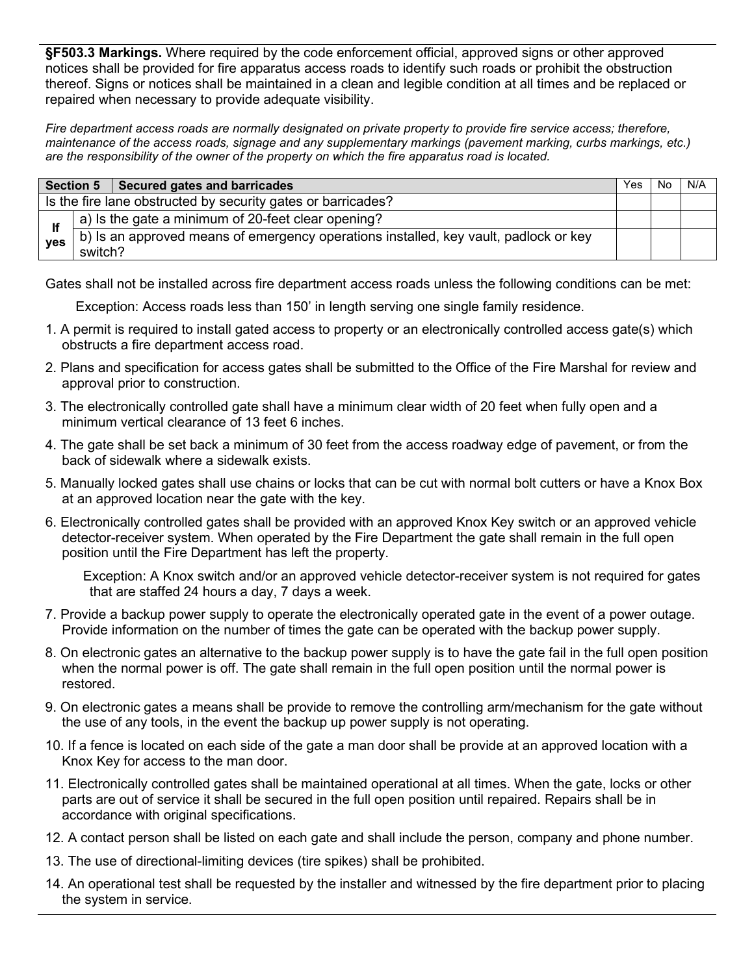**§F503.3 Markings.** Where required by the code enforcement official, approved signs or other approved notices shall be provided for fire apparatus access roads to identify such roads or prohibit the obstruction thereof. Signs or notices shall be maintained in a clean and legible condition at all times and be replaced or repaired when necessary to provide adequate visibility.

*Fire department access roads are normally designated on private property to provide fire service access; therefore, maintenance of the access roads, signage and any supplementary markings (pavement marking, curbs markings, etc.) are the responsibility of the owner of the property on which the fire apparatus road is located.*

|            | <b>Section 5</b><br>Secured gates and barricades                                                | Yes | No. | N/A |
|------------|-------------------------------------------------------------------------------------------------|-----|-----|-----|
|            | Is the fire lane obstructed by security gates or barricades?                                    |     |     |     |
|            | a) Is the gate a minimum of 20-feet clear opening?                                              |     |     |     |
| <b>ves</b> | b) Is an approved means of emergency operations installed, key vault, padlock or key<br>switch? |     |     |     |

Gates shall not be installed across fire department access roads unless the following conditions can be met:

Exception: Access roads less than 150' in length serving one single family residence.

- 1. A permit is required to install gated access to property or an electronically controlled access gate(s) which obstructs a fire department access road.
- 2. Plans and specification for access gates shall be submitted to the Office of the Fire Marshal for review and approval prior to construction.
- 3. The electronically controlled gate shall have a minimum clear width of 20 feet when fully open and a minimum vertical clearance of 13 feet 6 inches.
- 4. The gate shall be set back a minimum of 30 feet from the access roadway edge of pavement, or from the back of sidewalk where a sidewalk exists.
- 5. Manually locked gates shall use chains or locks that can be cut with normal bolt cutters or have a Knox Box at an approved location near the gate with the key.
- 6. Electronically controlled gates shall be provided with an approved Knox Key switch or an approved vehicle detector-receiver system. When operated by the Fire Department the gate shall remain in the full open position until the Fire Department has left the property.

 Exception: A Knox switch and/or an approved vehicle detector-receiver system is not required for gates that are staffed 24 hours a day, 7 days a week.

- 7. Provide a backup power supply to operate the electronically operated gate in the event of a power outage. Provide information on the number of times the gate can be operated with the backup power supply.
- 8. On electronic gates an alternative to the backup power supply is to have the gate fail in the full open position when the normal power is off. The gate shall remain in the full open position until the normal power is restored.
- 9. On electronic gates a means shall be provide to remove the controlling arm/mechanism for the gate without the use of any tools, in the event the backup up power supply is not operating.
- 10. If a fence is located on each side of the gate a man door shall be provide at an approved location with a Knox Key for access to the man door.
- 11. Electronically controlled gates shall be maintained operational at all times. When the gate, locks or other parts are out of service it shall be secured in the full open position until repaired. Repairs shall be in accordance with original specifications.
- 12. A contact person shall be listed on each gate and shall include the person, company and phone number.
- 13. The use of directional-limiting devices (tire spikes) shall be prohibited.
- 14. An operational test shall be requested by the installer and witnessed by the fire department prior to placing the system in service.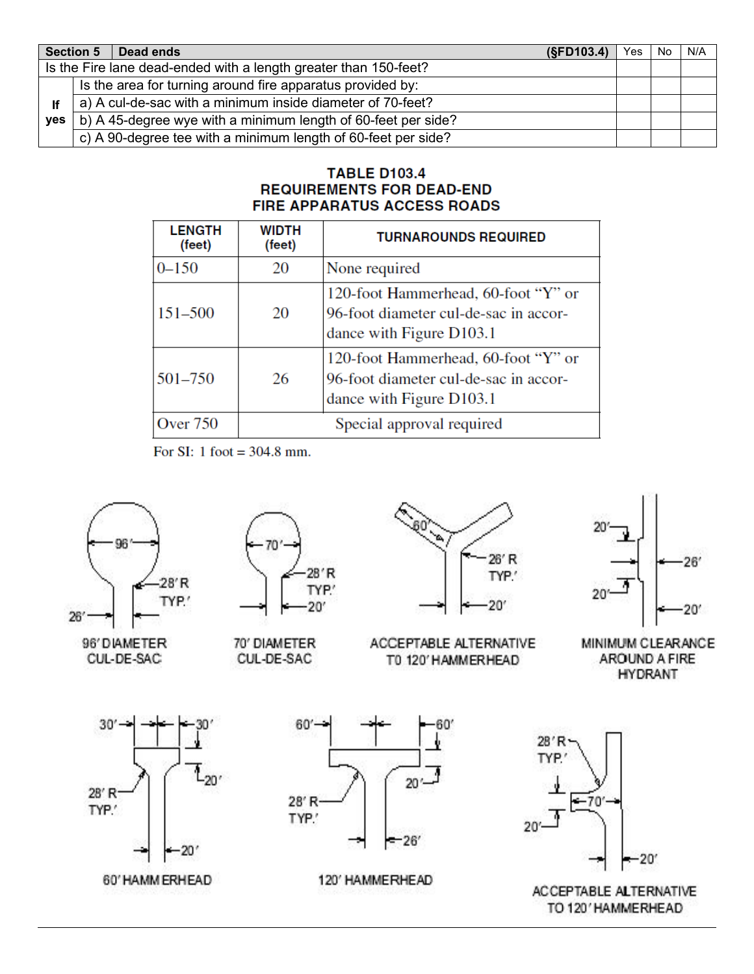|            | <b>Section 5</b> | Dead ends                                                        | (SFD103.4) | Yes. | No | N/A |
|------------|------------------|------------------------------------------------------------------|------------|------|----|-----|
|            |                  | Is the Fire lane dead-ended with a length greater than 150-feet? |            |      |    |     |
|            |                  | Is the area for turning around fire apparatus provided by:       |            |      |    |     |
| lf         |                  | a) A cul-de-sac with a minimum inside diameter of 70-feet?       |            |      |    |     |
| <b>ves</b> |                  | b) A 45-degree wye with a minimum length of 60-feet per side?    |            |      |    |     |
|            |                  | c) A 90-degree tee with a minimum length of 60-feet per side?    |            |      |    |     |

## **TABLE D103.4 REQUIREMENTS FOR DEAD-END FIRE APPARATUS ACCESS ROADS**

| <b>LENGTH</b><br>(feet) | <b>WIDTH</b><br>(feet) | <b>TURNAROUNDS REQUIRED</b>                                                                              |
|-------------------------|------------------------|----------------------------------------------------------------------------------------------------------|
| $0 - 150$               | 20                     | None required                                                                                            |
| 151-500                 | 20                     | 120-foot Hammerhead, 60-foot "Y" or<br>96-foot diameter cul-de-sac in accor-<br>dance with Figure D103.1 |
| 501-750                 | 26                     | 120-foot Hammerhead, 60-foot "Y" or<br>96-foot diameter cul-de-sac in accor-<br>dance with Figure D103.1 |
| <b>Over 750</b>         |                        | Special approval required                                                                                |

For SI: 1 foot =  $304.8$  mm.



TO 120' HAMMERHEAD